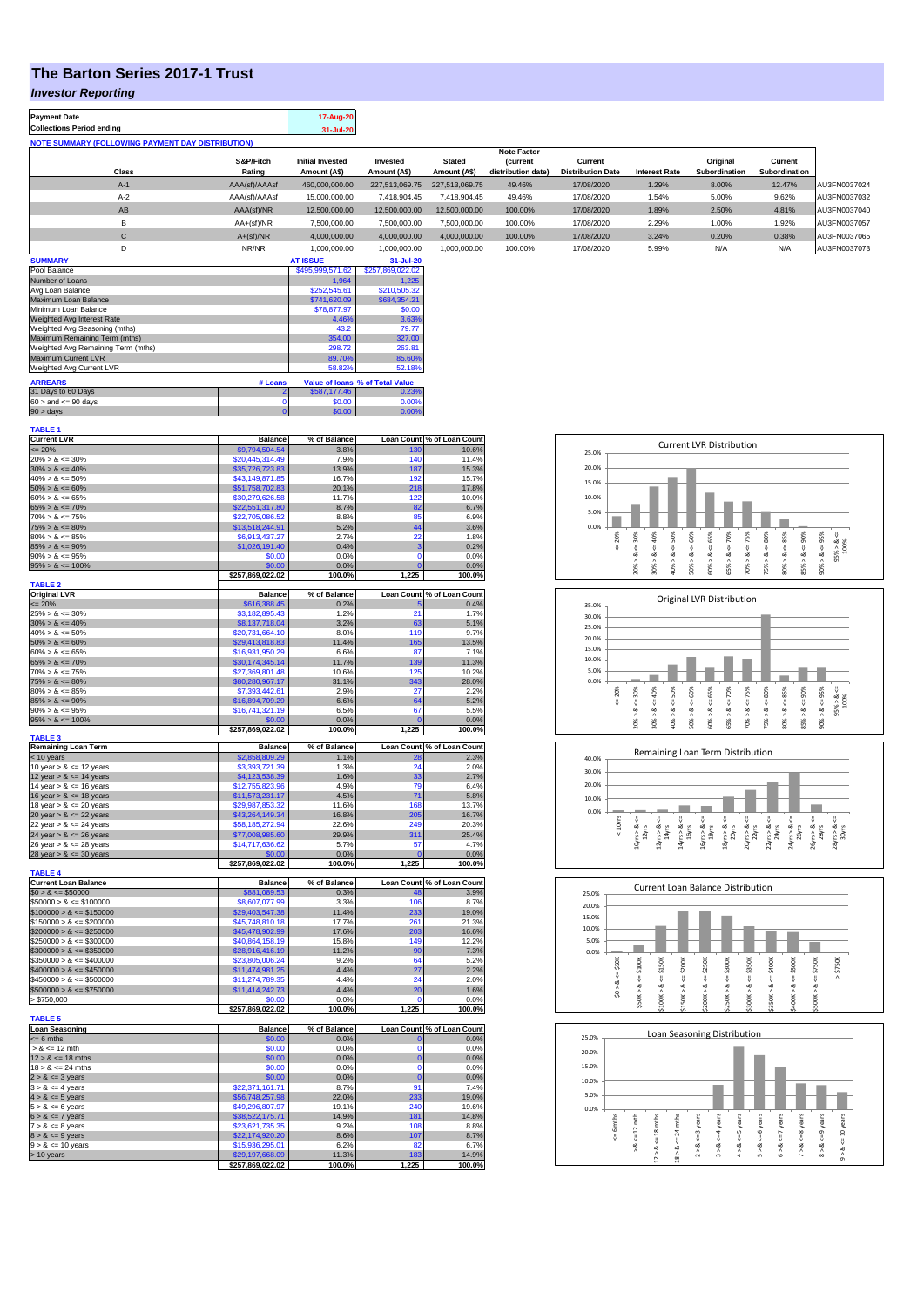## **The Barton Series 2017-1 Trust**

## *Investor Reporting*

| <b>Payment Date</b>                                      |                     | 17-Aug-20                               |                          |                               |                                       |                                     |                      |                           |                          |              |
|----------------------------------------------------------|---------------------|-----------------------------------------|--------------------------|-------------------------------|---------------------------------------|-------------------------------------|----------------------|---------------------------|--------------------------|--------------|
| <b>Collections Period ending</b>                         |                     | 31-Jul-20                               |                          |                               |                                       |                                     |                      |                           |                          |              |
| <b>NOTE SUMMARY (FOLLOWING PAYMENT DAY DISTRIBUTION)</b> |                     |                                         |                          |                               |                                       |                                     |                      |                           |                          |              |
|                                                          |                     | <b>Note Factor</b>                      |                          |                               |                                       |                                     |                      |                           |                          |              |
| Class                                                    | S&P/Fitch<br>Rating | <b>Initial Invested</b><br>Amount (A\$) | Invested<br>Amount (A\$) | <b>Stated</b><br>Amount (A\$) | <b>(current</b><br>distribution date) | Current<br><b>Distribution Date</b> | <b>Interest Rate</b> | Original<br>Subordination | Current<br>Subordination |              |
|                                                          |                     |                                         |                          |                               |                                       |                                     |                      |                           |                          |              |
| $A-1$                                                    | AAA(sf)/AAAsf       | 460.000.000.00                          | 227.513.069.75           | 227.513.069.75                | 49.46%                                | 17/08/2020                          | 1.29%                | 8.00%                     | 12.47%                   | AU3FN0037024 |
| $A-2$                                                    | AAA(sf)/AAAsf       | 15,000,000,00                           | 7.418.904.45             | 7.418.904.45                  | 49.46%                                | 17/08/2020                          | 1.54%                | 5.00%                     | 9.62%                    | AU3FN0037032 |
| AB                                                       | AAA(sf)/NR          | 12,500,000.00                           | 12,500,000.00            | 12,500,000.00                 | 100.00%                               | 17/08/2020                          | 1.89%                | 2.50%                     | 4.81%                    | AU3FN0037040 |
| B                                                        | $AA+(sf)/NR$        | 7,500,000.00                            | 7,500,000.00             | 7,500,000.00                  | 100.00%                               | 17/08/2020                          | 2.29%                | 1.00%                     | 1.92%                    | AU3FN0037057 |
| С                                                        | $A+(sf)/NR$         | 4.000.000.00                            | 4.000.000.00             | 4,000,000.00                  | 100.00%                               | 17/08/2020                          | 3.24%                | 0.20%                     | 0.38%                    | AU3FN0037065 |
| D                                                        | NR/NR               | 1,000,000.00                            | 1,000,000.00             | 1,000,000.00                  | 100.00%                               | 17/08/2020                          | 5.99%                | N/A                       | N/A                      | AU3FN0037073 |
| <b>SUMMARY</b>                                           |                     | <b>AT ISSUE</b>                         | 31-Jul-20                |                               |                                       |                                     |                      |                           |                          |              |

| Pool Balance                       |              | \$495,999,571.62 | \$257,869,022.02                |
|------------------------------------|--------------|------------------|---------------------------------|
| Number of Loans                    |              | 1.964            | 1.225                           |
| Avg Loan Balance                   |              | \$252,545.61     | \$210,505.32                    |
| Maximum Loan Balance               | \$741,620.09 | \$684,354.21     |                                 |
| Minimum Loan Balance               | \$78,877.97  | \$0.00           |                                 |
| Weighted Avg Interest Rate         | 4.46%        | 3.63%            |                                 |
| Weighted Avg Seasoning (mths)      | 43.2         | 79.77            |                                 |
| Maximum Remaining Term (mths)      | 354.00       | 327.00           |                                 |
| Weighted Avg Remaining Term (mths) | 298.72       | 263.81           |                                 |
| Maximum Current LVR                | 89.70%       | 85.60%           |                                 |
| Weighted Avg Current LVR           |              | 58.82%           | 52.18%                          |
| <b>ARREARS</b>                     | # Loans      |                  | Value of Ioans % of Total Value |
| 31 Days to 60 Days                 |              | \$587,177,46     | 0.23%                           |
| $60 >$ and $\leq 90$ days          | 0            | \$0.00           | 0.00%                           |
| $90 >$ days                        | 0            | \$0.00           | 0.00%                           |

| TABLE 1                                      |                                     |                 |                  |                            |
|----------------------------------------------|-------------------------------------|-----------------|------------------|----------------------------|
| <b>Current LVR</b>                           | <b>Balance</b>                      | % of Balance    |                  | Loan Count % of Loan Count |
| $= 20%$                                      | \$9,794,504.54                      | 3.8%            | 130              | 10.6%                      |
| $20\% > 8 \le 30\%$                          | \$20,445,314.49                     | 7.9%            | 140              | 11.4%                      |
| $30\% > 8 \le 40\%$                          | \$35,726,723.83                     | 13.9%           | 187              | 15.3%                      |
| $40\% > 8 \le 50\%$                          | \$43,149,871.85                     | 16.7%           | 192              | 15.7%                      |
|                                              |                                     |                 |                  |                            |
| $50\% > 8 \le 60\%$                          | \$51,758,702.83                     | 20.1%           | 218              | 17.8%                      |
| $60\% > 8 \le 65\%$                          | \$30,279,626.58                     | 11.7%           | 122              | 10.0%                      |
| $65\% > 8 \le 70\%$                          | \$22,551,317.80                     | 8.7%            | 82               | 6.7%                       |
| $70\% > 8 \le 75\%$                          | \$22,705,086.52                     | 8.8%            | 85               | 6.9%                       |
| $75\% > 8 \le 80\%$                          | \$13,518,244.91                     | 5.2%            | 44               | 3.6%                       |
| $80\% > 8 \le 85\%$                          | \$6,913,437.27                      | 2.7%            | 22               | 1.8%                       |
| $85\% > 8 \le 90\%$                          | \$1,026,191.40                      | 0.4%            | 3                | 0.2%                       |
|                                              |                                     |                 | $\overline{0}$   |                            |
| $90\% > 8 \le 95\%$                          | \$0.00                              | 0.0%            |                  | 0.0%                       |
| $95\% > 8 \le 100\%$                         | \$0.00                              | 0.0%            | $\overline{0}$   | 0.0%                       |
|                                              | \$257,869,022.02                    | 100.0%          | 1,225            | 100.0%                     |
| <b>TABLE 2</b>                               |                                     |                 |                  |                            |
| <b>Original LVR</b>                          | <b>Balance</b>                      | % of Balance    |                  | Loan Count % of Loan Count |
| $= 20%$                                      | \$616,388.45                        | 0.2%            |                  | 0.4%                       |
| $25\% > 8 \le 30\%$                          | \$3,182,895.43                      | 1.2%            | 21               | 1.7%                       |
| $30\% > 8 \le 40\%$                          | \$8,137,718.04                      | 3.2%            | 63               | 5.1%                       |
| $40\% > 8 \le 50\%$                          |                                     | 8.0%            | 119              | 9.7%                       |
|                                              | \$20,731,664.10                     |                 |                  |                            |
| $50\% > 8 \le 60\%$                          | \$29,413,818.83                     | 11.4%           | 165              | 13.5%                      |
| $60\% > 8 \le 65\%$                          | \$16,931,950.29                     | 6.6%            | 87               | 7.1%                       |
| $65\% > 8 \le 70\%$                          | \$30,174,345.14                     | 11.7%           | 139              | 11.3%                      |
| $70\% > 8 \le 75\%$                          | \$27,369,801.48                     | 10.6%           | 125              | 10.2%                      |
| $75\% > 8 \le 80\%$                          | \$80,280,967.17                     | 31.1%           | 343              | 28.0%                      |
|                                              |                                     | 2.9%            | 27               |                            |
| $80\% > 8 \le 85\%$                          | \$7,393,442.61                      |                 |                  | 2.2%                       |
| $85\% > 8 \le 90\%$                          | \$16,894,709.29                     | 6.6%            | 64               | 5.2%                       |
| $90\% > 8 \le 95\%$                          | \$16,741,321.19                     | 6.5%            | 67               | 5.5%                       |
| $95\% > 8 \le 100\%$                         | \$0.00                              | 0.0%            | $\mathbf{C}$     | 0.0%                       |
|                                              | \$257,869,022.02                    | 100.0%          | 1,225            | 100.0%                     |
| <b>TABLE 3</b>                               |                                     |                 |                  |                            |
| <b>Remaining Loan Term</b>                   | <b>Balance</b>                      | % of Balance    |                  | Loan Count % of Loan Count |
| < 10 years                                   | \$2,858,809.29                      | 1.1%            | 28               | 2.3%                       |
| 10 year $> 8 \le 12$ years                   | \$3,393,721.39                      | 1.3%            | 24               | 2.0%                       |
| 12 year $> 8 \le 14$ years                   | \$4,123,538.39                      | 1.6%            | 33               | 2.7%                       |
| 14 year $> 8 \le 16$ years                   | \$12,755,823.96                     | 4.9%            | 79               | 6.4%                       |
|                                              |                                     |                 |                  |                            |
| 16 year $> 8 \le 18$ years                   | \$11,573,231.17                     | 4.5%            | 71               | 5.8%                       |
| 18 year $> 8 \le 20$ years                   | \$29,987,853.32                     | 11.6%           | 168              | 13.7%                      |
|                                              | \$43,264,149.34                     |                 |                  | 16.7%                      |
| 20 year $> 8 < 22$ years                     |                                     | 16.8%           | 205              |                            |
|                                              |                                     |                 |                  |                            |
| 22 year $> 8 \le 24$ years                   | \$58,185,272.94                     | 22.6%           | 249              | 20.3%                      |
| 24 year $> 8 \le 26$ years                   | \$77,008,985.60                     | 29.9%           | 311              | 25.4%                      |
| 26 year $> 8 \le 28$ years                   | \$14,717,636.62                     | 5.7%            | 57               | 4.7%                       |
|                                              | \$0.00                              | 0.0%            | C                | 0.0%                       |
|                                              | \$257,869,022.02                    | 100.0%          | 1,225            | 100.0%                     |
| 28 year $> 8 \le 30$ years<br><b>TABLE 4</b> |                                     |                 |                  |                            |
| <b>Current Loan Balance</b>                  | <b>Balance</b>                      | % of Balance    |                  | Loan Count % of Loan Count |
|                                              |                                     | 0.3%            | 48               |                            |
| $$0 > 8 \le $50000$                          | \$881,089.53                        |                 |                  | 3.9%                       |
| $$50000 > 8 \le $100000$                     | \$8,607,077.99                      | 3.3%            | 106              | 8.7%                       |
| $$100000 > 8 \le $150000$                    | \$29,403,547.38                     | 11.4%           | 233              | 19.0%                      |
| $$150000 > 8 \le $200000$                    | \$45,748,810.18                     | 17.7%           | 261              | 21.3%                      |
| $$200000 > 8 \le $250000$                    | \$45,478,902.99                     | 17.6%           | 203              | 16.6%                      |
| $$250000 > 8 \le $300000$                    | \$40,864,158.19                     | 15.8%           | <b>149</b>       | 12.2%                      |
| $$300000 > 8 \leq $350000$                   | \$28,916,416.19                     | 11.2%           | 90               | 7.3%                       |
|                                              |                                     |                 |                  |                            |
| $$350000 > 8 \le $400000$                    | \$23,805,006.24                     | 9.2%            | 64               | 5.2%                       |
| $$400000 > 8 \le $450000$                    | \$11,474,981.25                     | 4.4%            | 27               | 2.2%                       |
| $$450000 > 8 \le $500000$                    | \$11,274,789.35                     | 4.4%            | 24               | 2.0%                       |
| $$500000 > 8 \le $750000$                    | \$11,414,242.73                     | 4.4%            | 20               | 1.6%                       |
| > \$750,000                                  | \$0.00                              | 0.0%            |                  | 0.0%                       |
|                                              | \$257,869,022.02                    | 100.0%          | 1,225            | 100.0%                     |
| <b>TABLE 5</b>                               |                                     |                 |                  |                            |
| <b>Loan Seasoning</b>                        | <b>Balance</b>                      | % of Balance    |                  | Loan Count % of Loan Count |
|                                              | \$0.00                              | 0.0%            | O                | 0.0%                       |
| $= 6$ mths                                   |                                     |                 | C                |                            |
| $> 8 \le 12$ mth                             | \$0.00                              | 0.0%            |                  | 0.0%                       |
| $12 > 8 \le 18$ mths                         | \$0.00                              | 0.0%            | 0                | 0.0%                       |
| $18 > 8 \le 24$ mths                         | \$0.00                              | 0.0%            | 0                | 0.0%                       |
| $2 > 8 \le 3$ years                          | \$0.00                              | 0.0%            | $\overline{0}$   | 0.0%                       |
| $3 > 8 \leq 4$ years                         | \$22,371,161.71                     | 8.7%            | 91               | 7.4%                       |
| $4 > 8 \le 5$ years                          | \$56,748,257.98                     | 22.0%           | 233              | 19.0%                      |
| $5 > 8 \le 6$ years                          | \$49,296,807.97                     | 19.1%           | 240              | 19.6%                      |
|                                              |                                     |                 |                  |                            |
| $6 > 8 \le 7$ years                          | \$38,522,175.71                     | 14.9%           | 181              | 14.8%                      |
| $7 > 8 \le 8$ years                          | \$23,621,735.35                     | 9.2%            | 108              | 8.8%                       |
| $8 > 8 \le 9$ years                          | \$22,174,920.20                     | 8.6%            | 107              | 8.7%                       |
| $9 > 8 \le 10$ years                         | \$15,936,295.01                     | 6.2%            | 82               | 6.7%                       |
| > 10 years                                   | \$29,197,668.09<br>\$257.869.022.02 | 11.3%<br>100.0% | 183<br>225<br>1. | 14.9%<br>100.0%            |

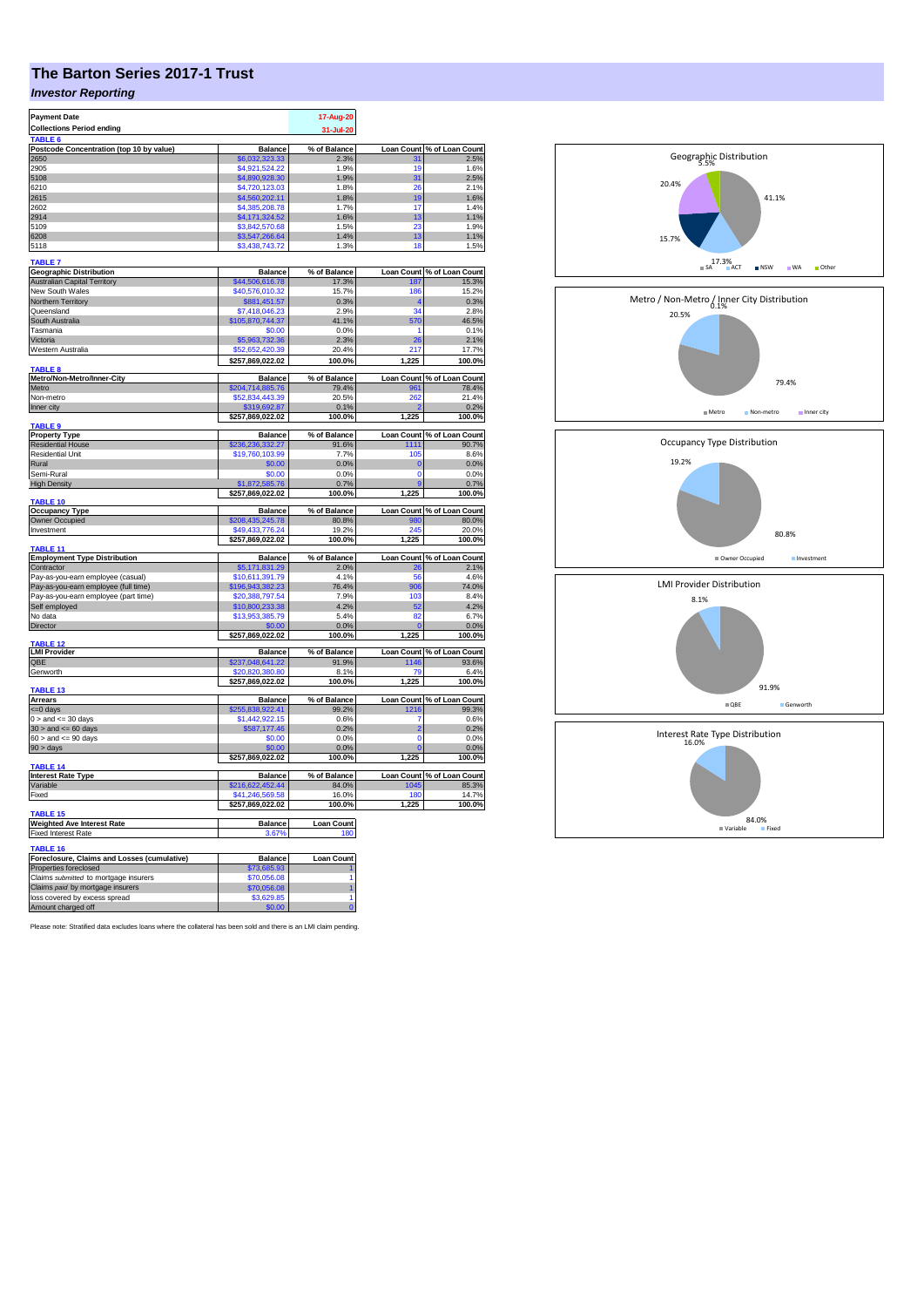## **The Barton Series 2017-1 Trust**

## *Investor Reporting*

| <b>Payment Date</b>                                 |                               | 17-Aug-20                |                   |                                    |
|-----------------------------------------------------|-------------------------------|--------------------------|-------------------|------------------------------------|
| <b>Collections Period ending</b>                    |                               |                          |                   |                                    |
| <b>TABLE</b>                                        |                               | 31-Jul-20                |                   |                                    |
| Postcode Concentration (top 10 by value)            | <b>Balance</b>                | % of Balance             |                   |                                    |
| 2650                                                |                               | 2.3%                     |                   | Loan Count % of Loan Count<br>2.5% |
|                                                     | \$6,032,323.33                |                          | 31                |                                    |
| 2905                                                | \$4,921,524.22                | 1.9%                     | 19                | 1.6%                               |
| 5108                                                | \$4,890,928.30                | 1.9%                     | 31                | 2.5%                               |
| 6210                                                | \$4,720,123.03                | 1.8%                     | 26                | 2.1%                               |
| 2615                                                | \$4,560,202.11                | 1.8%                     | 19                | 1.6%                               |
| 2602                                                | \$4,385,208.78                | 1.7%                     | 17                | 1.4%                               |
| 2914                                                | \$4,171,324.52                | 1.6%                     | 13                | 1.1%                               |
| 5109                                                | \$3,842,570.68                | 1.5%                     | 23                | 1.9%                               |
| 6208                                                | \$3,547,266.64                | 1.4%                     | 13                | 1.1%                               |
|                                                     |                               |                          |                   |                                    |
| 5118                                                | \$3,438,743.72                | 1.3%                     | 18                | 1.5%                               |
| <b>TABLE 7</b>                                      |                               |                          |                   |                                    |
|                                                     | <b>Balance</b>                | % of Balance             |                   | Loan Count % of Loan Count         |
| <b>Geographic Distribution</b>                      |                               |                          |                   |                                    |
| <b>Australian Capital Territory</b>                 | \$44,506,616.78               | 17.3%                    | 187               | 15.3%                              |
| <b>New South Wales</b>                              | \$40,576,010.32               | 15.7%                    | 186               | 15.2%                              |
| Northern Territory                                  | \$881,451.57                  | 0.3%                     |                   | 0.3%                               |
| Queensland                                          | \$7,418,046.23                | 2.9%                     | 34                | 2.8%                               |
| South Australia                                     | \$105,870,744.37              | 41.1%                    | 570               | 46.5%                              |
| Tasmania                                            | \$0.00                        | 0.0%                     |                   | 0.1%                               |
| Victoria                                            | \$5,963,732.36                | 2.3%                     | 26                | 2.1%                               |
|                                                     | \$52,652,420.39               |                          |                   |                                    |
| Western Australia                                   |                               | 20.4%                    | 217               | 17.7%                              |
|                                                     | \$257,869,022.02              | 100.0%                   | 1,225             | 100.0%                             |
| TABLE 8                                             |                               |                          |                   |                                    |
| Metro/Non-Metro/Inner-City                          | <b>Balance</b>                | % of Balance             |                   | Loan Count % of Loan Count         |
| Metro                                               | \$204,714,885.76              | 79.4%                    | 961               | 78.4%                              |
| Non-metro                                           | \$52,834,443.39               | 20.5%                    | 262               | 21.4%                              |
| Inner city                                          | \$319,692.87                  | 0.1%                     |                   | 0.2%                               |
|                                                     | \$257,869,022.02              | 100.0%                   | 1,225             | 100.0%                             |
| TABLE 9                                             |                               |                          |                   |                                    |
| <b>Property Type</b>                                | <b>Balance</b>                | % of Balance             |                   | Loan Count % of Loan Count         |
| <b>Residential House</b>                            |                               | 91.6%                    | 1111              | 90.7%                              |
|                                                     | \$236,236,332.27              |                          |                   |                                    |
| <b>Residential Unit</b>                             | \$19,760,103.99               | 7.7%                     | 105               | 8.6%                               |
| Rural                                               | \$0.00                        | 0.0%                     | C                 | 0.0%                               |
| Semi-Rural                                          | \$0.00                        | 0.0%                     | $\overline{0}$    | 0.0%                               |
| <b>High Density</b>                                 | \$1,872,585.76                | 0.7%                     | ¢                 | 0.7%                               |
|                                                     | \$257,869,022.02              | 100.0%                   | 1,225             | 100.0%                             |
| TABLE 10                                            |                               |                          |                   |                                    |
| <b>Occupancy Type</b>                               | <b>Balance</b>                | % of Balance             |                   | Loan Count % of Loan Count         |
| Owner Occupied                                      | \$208,435,245.78              | 80.8%                    | 980               | 80.0%                              |
| Investment                                          | \$49,433,776.24               | 19.2%                    | 245               | 20.0%                              |
|                                                     | \$257,869,022.02              | 100.0%                   | 1,225             | 100.0%                             |
| TABLE 11                                            |                               |                          |                   |                                    |
| <b>Employment Type Distribution</b>                 | <b>Balance</b>                | % of Balance             | <b>Loan Count</b> | % of Loan Count                    |
|                                                     |                               |                          |                   |                                    |
|                                                     |                               |                          |                   |                                    |
| Contractor                                          | \$5,171,831.29                | 2.0%                     | 26                | 2.1%                               |
| Pay-as-you-earn employee (casual)                   | \$10.611.391.79               | 4.1%                     | 56                | 4.6%                               |
| Pay-as-you-earn employee (full time)                | \$196,943,382.23              | 76.4%                    | 906               | 74.0%                              |
|                                                     |                               | 7.9%                     | 103               | 8.4%                               |
| Pay-as-you-earn employee (part time)                | \$20,388,797.54               |                          |                   |                                    |
| Self employed                                       | \$10,800,233.38               | 4.2%                     | 52                | 4.2%                               |
| No data                                             | \$13,953,385.79               | 5.4%                     | 82                | 6.7%                               |
| <b>Director</b>                                     |                               | 0.0%                     |                   | 0.0%                               |
|                                                     | \$257,869,022.02              | 100.0%                   | 1,225             | 100.0%                             |
| TABLE 12                                            |                               |                          |                   |                                    |
| <b>LMI Provider</b>                                 | <b>Balance</b>                | % of Balance             |                   | Loan Count % of Loan Count         |
| QBE                                                 | \$237,048,641.22              | 91.9%                    | 1146              | 93.6%                              |
| Genworth                                            | \$20,820,380.80               | 8.1%                     | 70                | 6.4%                               |
|                                                     | \$257,869,022.02              | 100.0%                   | 1,225             | 100.0%                             |
| TABLE 13                                            |                               |                          |                   |                                    |
| <b>Arrears</b>                                      | <b>Balance</b>                | % of Balance             |                   | Loan Count % of Loan Count         |
| $= 0$ days                                          | \$255.838.922.41              | 99.2%                    | 1216              | 99.3%                              |
|                                                     |                               |                          | 7                 | 0.6%                               |
| $0 >$ and $\leq$ 30 days                            | \$1,442,922.15                | 0.6%                     | $\overline{2}$    |                                    |
| $30 >$ and $\leq 60$ days                           | \$587,177.46                  | 0.2%                     |                   | 0.2%                               |
| $60 >$ and $\leq 90$ days                           | \$0.00                        | 0.0%                     | $\overline{0}$    | 0.0%                               |
| $90 > \text{days}$                                  | \$0.00                        | 0.0%                     |                   | 0.0%                               |
|                                                     | \$257,869,022.02              | 100.0%                   | 1,225             | 100.0%                             |
| TABLE <sub>14</sub>                                 |                               |                          |                   |                                    |
| <b>Interest Rate Type</b>                           | <b>Balance</b>                | % of Balance             |                   | Loan Count % of Loan Count         |
| Variable                                            | \$216,622,452.44              | 84.0%                    | 1045              | 85.3%                              |
| Fixed                                               | \$41,246,569.58               | 16.0%                    | 180               | 14.7%                              |
|                                                     | \$257,869,022.02              | 100.0%                   | 1,225             | 100.0%                             |
| TABLE <sub>15</sub>                                 |                               |                          |                   |                                    |
|                                                     |                               |                          |                   |                                    |
| <b>Weighted Ave Interest Rate</b>                   | <b>Balance</b><br>3.67%       | <b>Loan Count</b><br>180 |                   |                                    |
| <b>Fixed Interest Rate</b>                          |                               |                          |                   |                                    |
| TABLE 16                                            |                               |                          |                   |                                    |
|                                                     |                               |                          |                   |                                    |
| Foreclosure, Claims and Losses (cumulative)         | <b>Balance</b><br>\$73,685.93 | <b>Loan Count</b>        |                   |                                    |
| Properties foreclosed                               |                               |                          |                   |                                    |
| Claims submitted to mortgage insurers               | \$70,056.08                   |                          |                   |                                    |
| Claims paid by mortgage insurers                    | \$70,056.08                   |                          |                   |                                    |
| loss covered by excess spread<br>Amount charged off | \$3,629.85<br>\$0.00          | 1<br>ň                   |                   |                                    |